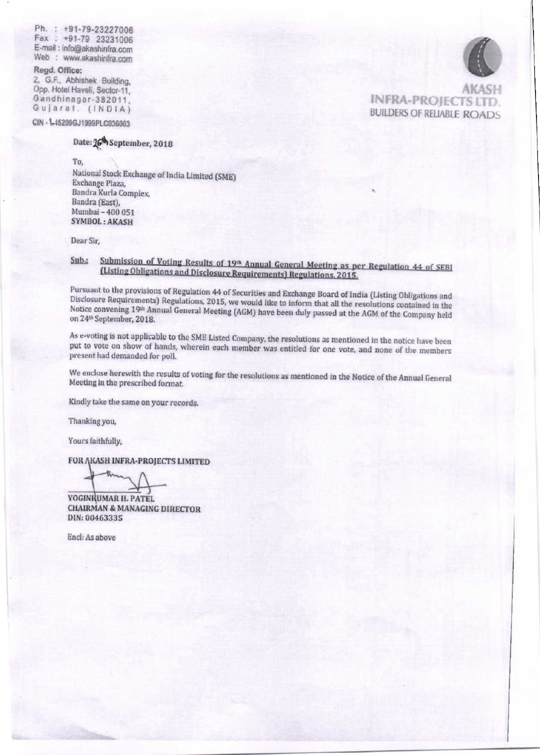Ph.: +91-79-23227006 Fax: +91-79 23231006 E-mail: info@akashinfra.com Web : www.akashinfra.com

Regd. Office: 2, G.F., Abhishek Building, Opp. Hotel Haveli, Sector-11, Gandhinagar-382011, Gujarat. (INDIA)

CIN - 1-45209GJ1999PLC036003

## Date: 26<sup>th</sup> September, 2018

To,

National Stock Exchange of India Limited (SME) Exchange Plaza, Bandra Kurla Complex, Bandra (East), Mumbai - 400 051 **SYMBOL: AKASH** 

Dear Sir,

## Submission of Voting Results of 19th Annual General Meeting as per Regulation 44 of SEBI  $Sub.$ : (Listing Obligations and Disclosure Requirements) Regulations, 2015.

Pursuant to the provisions of Regulation 44 of Securities and Exchange Board of India (Listing Obligations and Disclosure Requirements) Regulations, 2015, we would like to inform that all the resolutions contained in the Notice convening 19th Annual General Meeting (AGM) have been duly passed at the AGM of the Company held on 24th September, 2018.

As e-voting is not applicable to the SME Listed Company, the resolutions as mentioned in the notice have been put to vote on show of hands, wherein each member was entitled for one vote, and none of the members present had demanded for poll.

We enclose herewith the results of voting for the resolutions as mentioned in the Notice of the Annual General Meeting in the prescribed format.

Kindly take the same on your records.

Thanking you,

Yours faithfully,

FOR AKASH INFRA-PROJECTS LIMITED

YOGINKUMAR H. PATEL **CHAIRMAN & MANAGING DIRECTOR** DIN: 00463335

Encl: As above



**INFRA-PROJECTS LTD BUILDERS OF RELIABLE ROADS**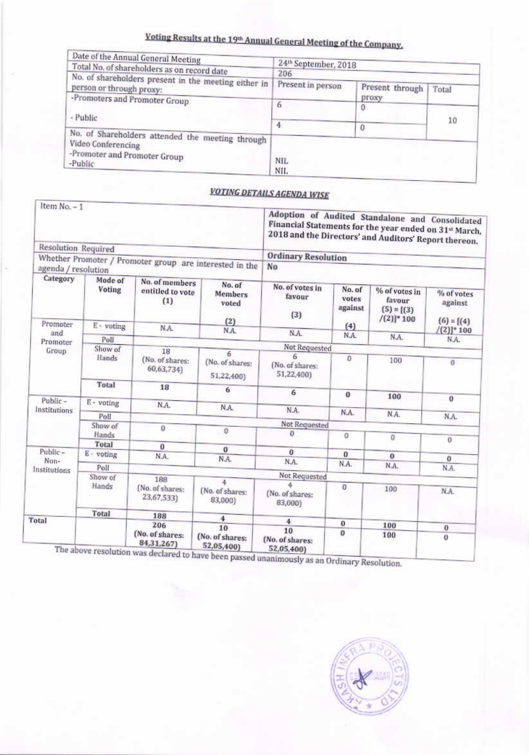## Voting Results at the 19th Annual General Meeting of the Company.

| Date of the Annual General Meeting<br>Total No. of shareholders as on record date | 24th September, 2018<br>206 |                          |       |
|-----------------------------------------------------------------------------------|-----------------------------|--------------------------|-------|
| No. of shareholders present in the meeting either in<br>person or through proxy:  | Present in person           | Present through<br>proxy | Total |
| -Promoters and Promoter Group<br>- Public                                         | ь                           | 0                        | 10    |
| No. of Shareholders attended the meeting through<br>Video Conferencing            | 4                           |                          |       |
| -Promoter and Promoter Group<br>-Public                                           | NIL.<br>NIL.                |                          |       |

## **VOTING DETAILS AGENDA WISE**

| $Item No = 1$              |                   |                                                         |                                    | Adoption of Audited Standalone and Consolidated<br>Financial Statements for the year ended on 31st March,<br>2018 and the Directors' and Auditors' Report thereon. |                            |                                                          |                                       |
|----------------------------|-------------------|---------------------------------------------------------|------------------------------------|--------------------------------------------------------------------------------------------------------------------------------------------------------------------|----------------------------|----------------------------------------------------------|---------------------------------------|
| <b>Resolution Required</b> |                   |                                                         |                                    |                                                                                                                                                                    |                            |                                                          |                                       |
|                            |                   | Whether Promoter / Promoter group are interested in the |                                    | <b>Ordinary Resolution</b>                                                                                                                                         |                            |                                                          |                                       |
| agenda / resolution        |                   |                                                         |                                    | No                                                                                                                                                                 |                            |                                                          |                                       |
| Category                   | Mode of<br>Voting | No. of members<br>entitled to vote<br>(1)               | No. of<br>Members<br>voted<br>(2)  | No. of votes in<br>favour<br>(3)                                                                                                                                   | No. of<br>votes<br>against | % of votes in<br>favour<br>$(5) = [(3)$<br>$/(2)]^* 100$ | % of votes<br>against<br>$(6) = [(4)$ |
| Promoter<br>and            | E - voting        | N.A.                                                    | N.A.                               |                                                                                                                                                                    | (4)                        |                                                          | $[(2)]^*$ 100                         |
| Promoter                   | Poll              |                                                         |                                    | N.A.                                                                                                                                                               | N.A.                       | N.A.                                                     | N.A.                                  |
| Group                      | Show of           | 18                                                      |                                    | Not Requested                                                                                                                                                      |                            |                                                          |                                       |
|                            | Hands             | (No. of shares:<br>60,63,734)                           | 6<br>(No. of shares:<br>51,22,400) | ĥ<br>(No. of shares:<br>51,22,400)                                                                                                                                 | $\theta$                   | 100                                                      | $\mathbf{0}$                          |
|                            | Total             | 18                                                      | 6                                  | 6                                                                                                                                                                  | $\bf{0}$                   |                                                          |                                       |
| Public-                    | E - voting        | N.A.                                                    |                                    |                                                                                                                                                                    |                            | 100                                                      | $\mathbf{0}$                          |
| Institutions               |                   |                                                         | N.A.                               | N.A.                                                                                                                                                               | N.A.                       | N.A.                                                     |                                       |
|                            | Poll              |                                                         |                                    | <b>Not Requested</b>                                                                                                                                               |                            |                                                          | N.A.                                  |
|                            | Show of<br>Hands  | $\alpha$                                                | $\Omega$                           | a                                                                                                                                                                  | 0                          |                                                          |                                       |
|                            | Total             |                                                         |                                    |                                                                                                                                                                    |                            | $\overline{0}$                                           | $\Omega$                              |
| Public-                    | E - voting        | $\bf{0}$<br>N.A.                                        | $\theta$                           | 0                                                                                                                                                                  | $\bf{0}$                   | $\bf{0}$                                                 |                                       |
| Non-                       |                   |                                                         | N.A.                               | N.A.                                                                                                                                                               | N.A.                       | N.A.                                                     | $\mathbf{0}$                          |
| Institutions               | Poll              |                                                         |                                    | Not Requested                                                                                                                                                      |                            |                                                          | N.A.                                  |
|                            | Show of<br>Hands  | 188                                                     | 4                                  | Δ                                                                                                                                                                  |                            |                                                          |                                       |
|                            |                   | (No. of shares:<br>23,67,533)                           | (No. of shares:<br>83,000)         | (No. of shares:<br>83,000)                                                                                                                                         | $\theta$                   | 100                                                      | N.A.                                  |
| Total                      | Total             | 188                                                     | $\ddot{\phantom{1}}$               |                                                                                                                                                                    |                            |                                                          |                                       |
|                            |                   | 206                                                     | 10                                 | $\overline{4}$                                                                                                                                                     | 0                          | 100                                                      | $\bf{0}$                              |
|                            |                   | (No. of shares:<br>84,31,267)                           | (No. of shares:<br>52,05,400)      | 10<br>(No. of shares:<br>52,05,400)                                                                                                                                | $\bf{0}$                   | 100                                                      | $\theta$                              |

n was declared to have been passed unanimously as an Ordinary Resolution.

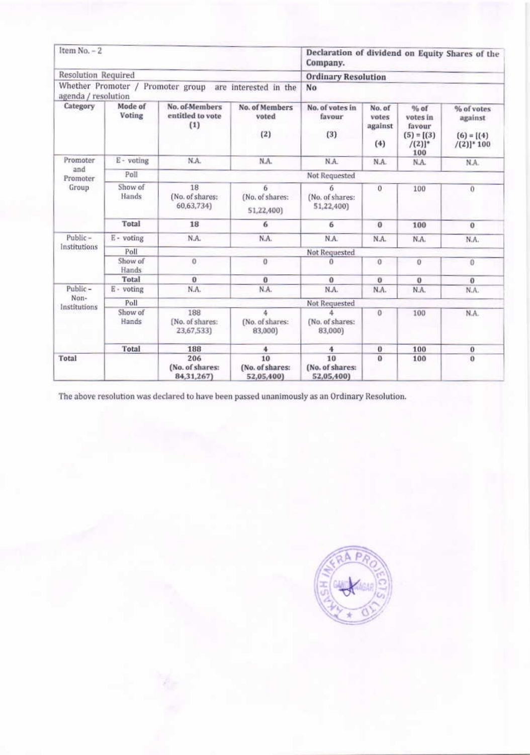| Item No. - 2                              |                   | Declaration of dividend on Equity Shares of the<br>Company. |                                     |                                     |                                   |                                                                  |                                                        |  |  |
|-------------------------------------------|-------------------|-------------------------------------------------------------|-------------------------------------|-------------------------------------|-----------------------------------|------------------------------------------------------------------|--------------------------------------------------------|--|--|
| Resolution Required                       |                   |                                                             |                                     | <b>Ordinary Resolution</b>          |                                   |                                                                  |                                                        |  |  |
| Whether Promoter /<br>agenda / resolution |                   | Promoter group                                              | are interested in the               | No                                  |                                   |                                                                  |                                                        |  |  |
| Category                                  | Mode of<br>Voting | No. of-Members<br>entitled to vote<br>(1)                   | No. of Members<br>voted<br>(2)      | No. of votes in<br>favour<br>(3)    | No. of<br>votes<br>against<br>(4) | $%$ of<br>votes in<br>favour<br>$(5) = [(3)$<br>$/(2)]^*$<br>100 | % of votes<br>against<br>$(6) = [(4)$<br>$/(2)]^* 100$ |  |  |
| Promoter                                  | E - voting        | N.A.                                                        | N.A.                                | N.A.                                | N.A.                              | N.A.                                                             | N.A.                                                   |  |  |
| and<br>Promoter                           | Poll              |                                                             | Not Requested                       |                                     |                                   |                                                                  |                                                        |  |  |
| Group                                     | Show of<br>Hands  | 18<br>(No. of shares:<br>60,63,734)                         | 6<br>(No. of shares:<br>51,22,400)  | 6<br>(No. of shares:<br>51,22,400)  | $\theta$                          | 100                                                              | $\Omega$                                               |  |  |
|                                           | Total             | 18                                                          | 6                                   | 6                                   | $\bf{0}$                          | 100                                                              | $\bf{0}$                                               |  |  |
| Public-                                   | E - voting        | N.A.                                                        | N.A.                                | N.A.                                | N.A.                              | N.A.                                                             | N.A.                                                   |  |  |
| Institutions                              | Poll              | Not Requested                                               |                                     |                                     |                                   |                                                                  |                                                        |  |  |
|                                           | Show of<br>Hands  | $\Omega$                                                    | $\Omega$                            | a                                   | o                                 | 0                                                                | $\bf{0}$                                               |  |  |
|                                           | Total             | $\bf{0}$                                                    | $\bf{0}$                            | $\theta$                            | $\bf{0}$                          | $\bf{0}$                                                         | $\mathbf{0}$                                           |  |  |
| Public-                                   | E - voting        | N.A.                                                        | N.A.                                | N.A.                                | N.A.                              | N.A.                                                             | N.A.                                                   |  |  |
| Non-<br>Institutions                      | Poll              | <b>Not Requested</b>                                        |                                     |                                     |                                   |                                                                  |                                                        |  |  |
|                                           | Show of<br>Hands  | 188<br>(No. of shares:<br>23,67,533)                        | 4<br>(No. of shares:<br>83,000)     | 4<br>(No. of shares:<br>83,000)     | 0                                 | 100                                                              | N.A.                                                   |  |  |
|                                           | Total             | 188                                                         | 4                                   | 4                                   | $\bf{0}$                          | 100                                                              | $\bf{o}$                                               |  |  |
| Total                                     |                   | 206<br>(No. of shares:<br>84, 31, 267)                      | 10<br>(No. of shares:<br>52,05,400) | 10<br>(No. of shares:<br>52,05,400) | $\alpha$                          | 100                                                              | $\Omega$                                               |  |  |

The above resolution was declared to have been passed unanimously as an Ordinary Resolution.

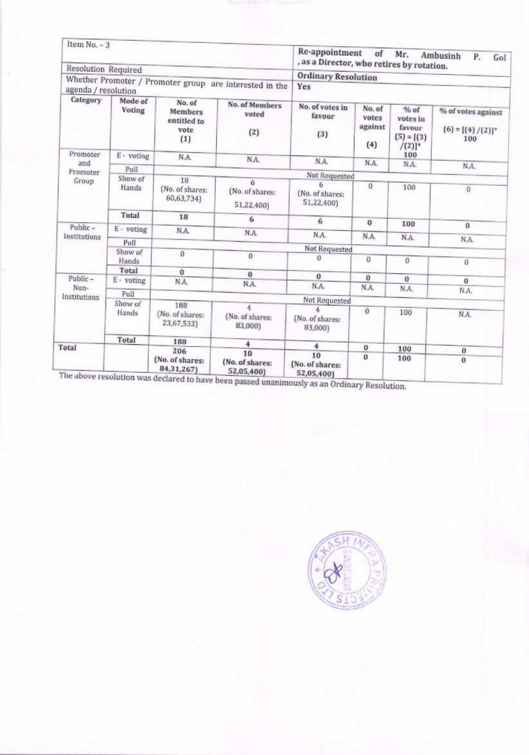| Item $No. - 3$          |                          |                                                                            |                                                         | Re-appointment<br>, as a Director, who retires by rotation. | of                                | Mr.                                                     | Ambusinh<br>Ρ.<br>Gol                              |  |
|-------------------------|--------------------------|----------------------------------------------------------------------------|---------------------------------------------------------|-------------------------------------------------------------|-----------------------------------|---------------------------------------------------------|----------------------------------------------------|--|
| Resolution Required     |                          |                                                                            |                                                         |                                                             |                                   |                                                         |                                                    |  |
| agenda / resolution     |                          |                                                                            | Whether Promoter / Promoter group are interested in the | <b>Ordinary Resolution</b><br>Yes                           |                                   |                                                         |                                                    |  |
| Category                | Mode of<br><b>Voting</b> | No. of<br><b>Members</b><br>entitled to<br>vote<br>(1)                     | No. of Members<br>voted<br>(2)                          | No. of votes in<br>favour<br>(3)                            | No. of<br>votes<br>against<br>(4) | % of<br>votes in<br>favour<br>$(5) = [(3)$<br>$/(2)]^*$ | % of votes against<br>$(6) = [(4) / (2)]^*$<br>100 |  |
| Promoter<br>and         | E - voting               | N.A.                                                                       | N.A.                                                    | N.A.                                                        | N.A.                              | 100<br>N.A.                                             |                                                    |  |
| Promoter                | Poll                     |                                                                            |                                                         |                                                             |                                   |                                                         | N.A.                                               |  |
| Group                   | Show of                  | 18                                                                         | 6                                                       | Not Requested                                               |                                   |                                                         |                                                    |  |
|                         | Hands                    | (No. of shares:<br>60,63,734)                                              | (No. of shares:<br>51,22,400)                           | ñ<br>(No. of shares:<br>51,22,400)                          | o.                                | 100                                                     | 0                                                  |  |
|                         | Total                    | 18                                                                         | 6                                                       | 6                                                           | $\bf{0}$                          | 100                                                     |                                                    |  |
| Public-<br>Institutions | E - voting               | N.A.                                                                       | N.A.                                                    | N.A.                                                        | N.A.                              |                                                         | o                                                  |  |
|                         | Poll                     |                                                                            |                                                         |                                                             |                                   | N.A.                                                    | N.A.                                               |  |
|                         | Show of                  | 0                                                                          | 0                                                       | <b>Not Requested</b>                                        |                                   |                                                         |                                                    |  |
|                         | Hands                    |                                                                            |                                                         | o                                                           | o                                 | $\alpha$                                                | Ö                                                  |  |
|                         | Total                    | $\mathbf{0}$                                                               | $\mathbf{0}$                                            | $\bf{0}$                                                    |                                   |                                                         |                                                    |  |
| Public-                 | E - voting               | N.A.                                                                       | N.A.                                                    | N.A.                                                        | $\bf{0}$<br>N.A.                  | $\Omega$                                                | 0                                                  |  |
| Non-<br>Institutions    | Poll                     |                                                                            |                                                         | Not Requested                                               |                                   | N.A.                                                    | N.A.                                               |  |
|                         | Show of                  | 188                                                                        |                                                         |                                                             |                                   |                                                         |                                                    |  |
|                         | Hands                    | (No. of shares:<br>23,67,533)                                              | (No. of shares:<br>83,000)                              | đ.<br>(No. of shares:<br>83,000)                            | $\theta$                          | 100                                                     | N.A.                                               |  |
|                         | <b>Total</b>             | 188                                                                        | 4                                                       |                                                             |                                   |                                                         |                                                    |  |
| Total                   |                          | 206                                                                        | 10                                                      | 4                                                           | $\bf{0}$                          | 100                                                     | $\bf{0}$                                           |  |
|                         |                          | (No. of shares:<br>84, 31, 267)<br>The above resolution was dealers 4x - 1 | (No. of shares:<br>52,05,400)                           | 10<br>(No. of shares:<br>52,05,400)                         | 0                                 | 100                                                     | $^{\circ}$                                         |  |

lared to have been passed unanimously as an Ordinary Resolution.

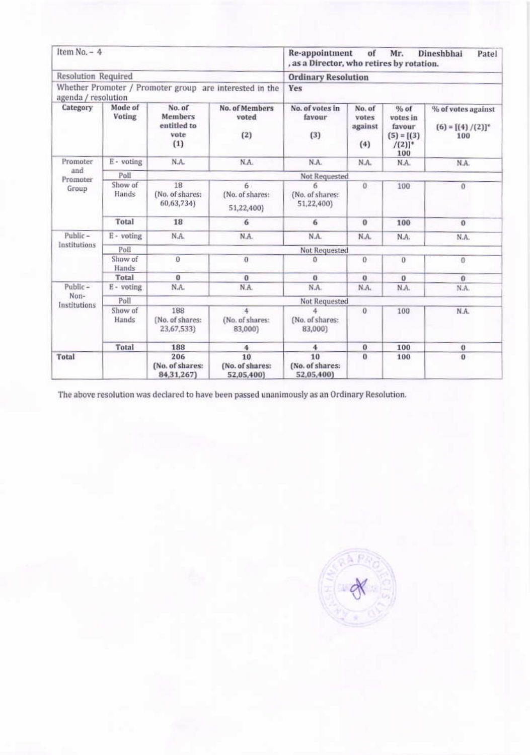| Item $No. - 4$           |                   |                                                        |                                                         | Re-appointment<br>of<br>Mr.<br>Dineshbhai<br>Patel<br>, as a Director, who retires by rotation. |                                   |                                                                |                                                    |  |  |
|--------------------------|-------------------|--------------------------------------------------------|---------------------------------------------------------|-------------------------------------------------------------------------------------------------|-----------------------------------|----------------------------------------------------------------|----------------------------------------------------|--|--|
| Resolution Required      |                   |                                                        |                                                         | <b>Ordinary Resolution</b>                                                                      |                                   |                                                                |                                                    |  |  |
| agenda / resolution      |                   |                                                        | Whether Promoter / Promoter group are interested in the | Yes                                                                                             |                                   |                                                                |                                                    |  |  |
| Category                 | Mode of<br>Voting | No. of<br><b>Members</b><br>entitled to<br>vote<br>(1) | <b>No. of Members</b><br>voted<br>(2)                   | No. of votes in<br>favour<br>(3)                                                                | No. of<br>votes<br>against<br>(4) | % of<br>votes in<br>favour<br>$(5) = [(3)$<br>$/(2)]^*$<br>100 | % of votes against<br>$(6) = [(4) / (2)]^*$<br>100 |  |  |
| Promoter                 | E - voting        | N.A.                                                   | N.A.                                                    | N.A.                                                                                            | N.A.                              | N.A.                                                           | N.A.                                               |  |  |
| and<br>Promoter<br>Group | Poll              |                                                        |                                                         | Not Requested                                                                                   |                                   |                                                                |                                                    |  |  |
|                          | Show of<br>Hands  | 18<br>(No. of shares:<br>60,63,734)                    | 6<br>(No. of shares:<br>51,22,400)                      | 6<br>(No. of shares:<br>51,22,400)                                                              | $\alpha$                          | 100                                                            | $\mathbf{0}$                                       |  |  |
|                          | Total             | 18                                                     | 6                                                       | 6                                                                                               | $\bf{0}$                          | 100                                                            | $\mathbf{0}$                                       |  |  |
| Public-                  | E - voting        | N.A.                                                   | N.A.                                                    | N.A.                                                                                            | N.A.                              | N.A.                                                           | N.A.                                               |  |  |
| Institutions             | Poll              | Not Requested                                          |                                                         |                                                                                                 |                                   |                                                                |                                                    |  |  |
|                          | Show of<br>Hands  | $\alpha$                                               | $\mathbf{0}$                                            | $\Omega$                                                                                        | 0                                 | 0                                                              | $\Omega$                                           |  |  |
|                          | Total             | $\bf{0}$                                               | $\alpha$                                                | o                                                                                               | o                                 | $\bf{0}$                                                       | $\alpha$                                           |  |  |
| Public-                  | E - voting        | N.A.                                                   | N.A.                                                    | N.A.                                                                                            | N.A.                              | N.A.                                                           | N.A.                                               |  |  |
| Non-<br>Institutions     | Poll              | Not Requested                                          |                                                         |                                                                                                 |                                   |                                                                |                                                    |  |  |
|                          | Show of<br>Hands  | 188<br>(No. of shares:<br>23,67,533)                   | 4<br>(No. of shares:<br>83,000)                         | (No. of shares:<br>83,000)                                                                      | $\sigma$                          | 100                                                            | N.A.                                               |  |  |
|                          | Total             | 188                                                    | 4                                                       | 4                                                                                               | $\bf{0}$                          | 100                                                            | $\bf{0}$                                           |  |  |
| Total                    |                   | 206<br>(No. of shares:<br>84, 31, 267)                 | 10<br>(No. of shares:<br>52,05,400)                     | 10<br>(No. of shares:<br>52,05,400)                                                             | $\bf{0}$                          | 100                                                            | $\bf{0}$                                           |  |  |

The above resolution was declared to have been passed unanimously as an Ordinary Resolution.